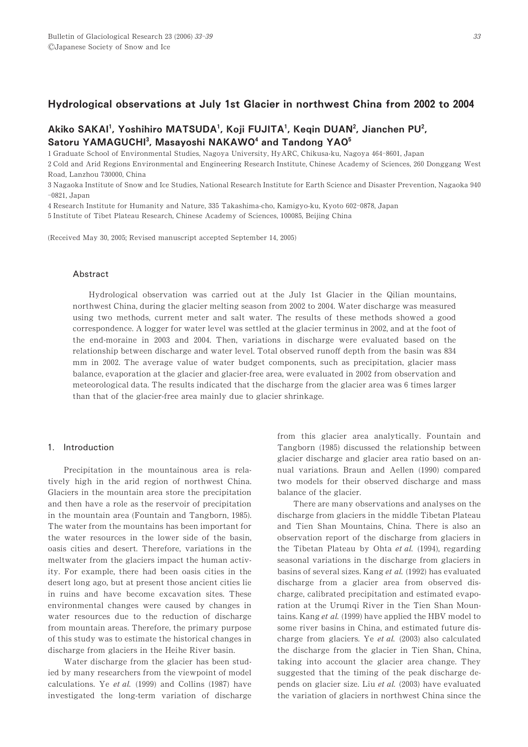## Hydrological observations at July 1st Glacier in northwest China from 2002 to 2004

# Akiko SAKAI<sup>1</sup>, Yoshihiro MATSUDA<sup>1</sup>, Koji FUJITA<sup>1</sup>, Keqin DUAN<sup>2</sup>, Jianchen PU<sup>2</sup>, Satoru YAMAGUCHI<sup>3</sup>, Masayoshi NAKAWO<sup>4</sup> and Tandong YAO<sup>5</sup>

1 Graduate School of Environmental Studies, Nagoya University, HyARC, Chikusa-ku, Nagoya 464-8601, Japan

2 Cold and Arid Regions Environmental and Engineering Research Institute, Chinese Academy of Sciences, 260 Donggang West Road, Lanzhou 730000, China

3 Nagaoka Institute of Snow and Ice Studies, National Research Institute for Earth Science and Disaster Prevention, Nagaoka 940  $-0821$ . Japan

4 Research Institute for Humanity and Nature, 335 Takashima-cho, Kamigyo-ku, Kyoto 602-0878, Japan

5 Institute of Tibet Plateau Research, Chinese Academy of Sciences, 100085, Beijing China

(Received May 30, 2005; Revised manuscript accepted September 14, 2005)

### Abstract

Hydrological observation was carried out at the July 1st Glacier in the Qilian mountains, northwest China, during the glacier melting season from 2002 to 2004. Water discharge was measured using two methods, current meter and salt water. The results of these methods showed a good correspondence. A logger for water level was settled at the glacier terminus in 2002, and at the foot of the end-moraine in 2003 and 2004. Then, variations in discharge were evaluated based on the relationship between discharge and water level. Total observed runoff depth from the basin was 834 mm in 2002. The average value of water budget components, such as precipitation, glacier mass balance, evaporation at the glacier and glacier-free area, were evaluated in 2002 from observation and meteorological data. The results indicated that the discharge from the glacier area was 6 times larger than that of the glacier-free area mainly due to glacier shrinkage.

## 1. Introduction

Precipitation in the mountainous area is relatively high in the arid region of northwest China. Glaciers in the mountain area store the precipitation and then have a role as the reservoir of precipitation in the mountain area (Fountain and Tangborn, 1985). The water from the mountains has been important for the water resources in the lower side of the basin, oasis cities and desert. Therefore, variations in the meltwater from the glaciers impact the human activity. For example, there had been oasis cities in the desert long ago, but at present those ancient cities lie in ruins and have become excavation sites. These environmental changes were caused by changes in water resources due to the reduction of discharge from mountain areas. Therefore, the primary purpose of this study was to estimate the historical changes in discharge from glaciers in the Heihe River basin.

Water discharge from the glacier has been studied by many researchers from the viewpoint of model calculations. Ye et al.  $(1999)$  and Collins  $(1987)$  have investigated the long-term variation of discharge from this glacier area analytically. Fountain and Tangborn (1985) discussed the relationship between glacier discharge and glacier area ratio based on annual variations. Braun and Aellen (1990) compared two models for their observed discharge and mass balance of the glacier.

There are many observations and analyses on the discharge from glaciers in the middle Tibetan Plateau and Tien Shan Mountains, China. There is also an observation report of the discharge from glaciers in the Tibetan Plateau by Ohta et al.  $(1994)$ , regarding seasonal variations in the discharge from glaciers in basins of several sizes. Kang et al.  $(1992)$  has evaluated discharge from a glacier area from observed discharge, calibrated precipitation and estimated evaporation at the Urumqi River in the Tien Shan Mountains. Kang et al. (1999) have applied the HBV model to some river basins in China, and estimated future discharge from glaciers. Ye et al.  $(2003)$  also calculated the discharge from the glacier in Tien Shan, China, taking into account the glacier area change. They suggested that the timing of the peak discharge depends on glacier size. Liu et al.  $(2003)$  have evaluated the variation of glaciers in northwest China since the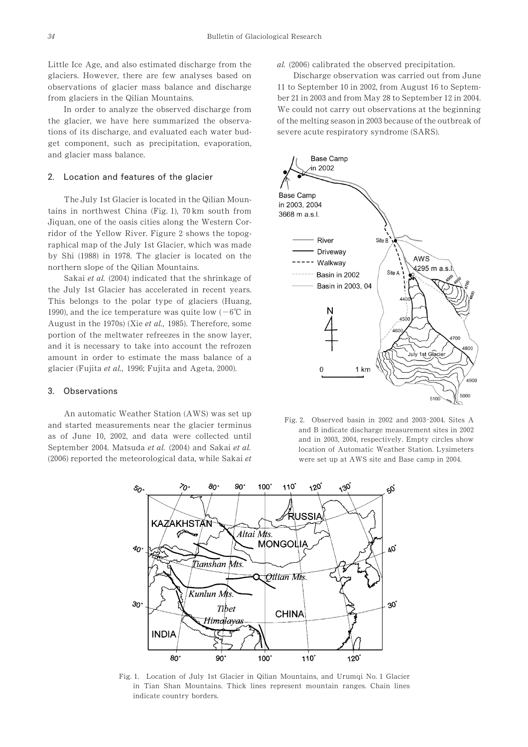Little Ice Age, and also estimated discharge from the glaciers. However, there are few analyses based on observations of glacier mass balance and discharge from glaciers in the Qilian Mountains.

In order to analyze the observed discharge from the glacier, we have here summarized the observations of its discharge, and evaluated each water budget component, such as precipitation, evaporation, and glacier mass balance.

## 2. Location and features of the glacier

The July 1st Glacier is located in the Qilian Mountains in northwest China (Fig.  $1$ ),  $70 \text{ km}$  south from Jiquan, one of the oasis cities along the Western Corridor of the Yellow River. Figure 2 shows the topographical map of the July 1st Glacier, which was made by Shi (1988) in 1978. The glacier is located on the northern slope of the Qilian Mountains.

Sakai et al. (2004) indicated that the shrinkage of the July 1st Glacier has accelerated in recent years. This belongs to the polar type of glaciers (Huang, 1990), and the ice temperature was quite low ( $-6^{\circ}$ C in August in the  $1970s$ ) (Xie et al., 1985). Therefore, some portion of the meltwater refreezes in the snow layer, and it is necessary to take into account the refrozen amount in order to estimate the mass balance of a glacier (Fujita et al., 1996; Fujita and Ageta, 2000).

#### 3. Observations

An automatic Weather Station (AWS) was set up and started measurements near the glacier terminus as of June 10, 2002, and data were collected until September 2004. Matsuda et al. (2004) and Sakai et al. (2006) reported the meteorological data, while Sakai  $et$   $al.$  (2006) calibrated the observed precipitation.

Discharge observation was carried out from June 11 to September 10 in 2002, from August 16 to September 21 in 2003 and from May 28 to September 12 in 2004. We could not carry out observations at the beginning of the melting season in 2003 because of the outbreak of severe acute respiratory syndrome (SARS).



Fig. 2. Observed basin in  $2002$  and  $2003-2004$ . Sites A and B indicate discharge measurement sites in 2002 and in 2003, 2004, respectively. Empty circles show location of Automatic Weather Station. Lysimeters were set up at AWS site and Base camp in 2004.



Fig. 1. Location of July 1st Glacier in Qilian Mountains, and Urumqi No. 1 Glacier in Tian Shan Mountains. Thick lines represent mountain ranges. Chain lines indicate country borders.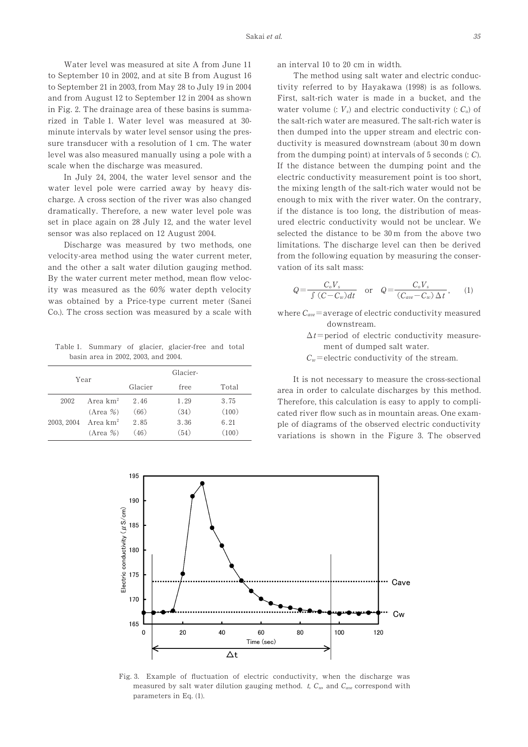Water level was measured at site A from June 11 to September 10 in 2002, and at site B from August  $16$ to September 21 in 2003, from May 28 to July 19 in  $2004$ and from August 12 to September 12 in 2004 as shown in Fig. 2. The drainage area of these basins is summarized in Table 1. Water level was measured at 30minute intervals by water level sensor using the pressure transducer with a resolution of 1 cm. The water level was also measured manually using a pole with a scale when the discharge was measured.

In July 24, 2004, the water level sensor and the water level pole were carried away by heavy discharge. A cross section of the river was also changed dramatically. Therefore, a new water level pole was set in place again on  $28$  July 12, and the water level sensor was also replaced on 12 August 2004.

Discharge was measured by two methods, one velocity-area method using the water current meter, and the other a salt water dilution gauging method. By the water current meter method, mean flow velocity was measured as the 60% water depth velocity was obtained by a Price-type current meter (Sanei Co.). The cross section was measured by a scale with

Table 1. Summary of glacier, glacier-free and total basin area in 2002, 2003, and 2004.

| Year       |             |         | Glacier- |       |
|------------|-------------|---------|----------|-------|
|            |             | Glacier | free     | Total |
| 2002       | Area $km^2$ | 2.46    | 1.29     | 3.75  |
|            | $(Area \%)$ | (66)    | (34)     | (100) |
| 2003, 2004 | Area $km^2$ | 2.85    | 3.36     | 6.21  |
|            | $(Area \%)$ | (46)    | (54)     | (100) |

an interval 10 to 20 cm in width.

The method using salt water and electric conductivity referred to by Hayakawa  $(1998)$  is as follows. First, salt-rich water is made in a bucket, and the water volume  $: V_s$  and electric conductivity  $: C_o$  of the salt-rich water are measured. The salt-rich water is then dumped into the upper stream and electric conductivity is measured downstream (about 30 m down from the dumping point) at intervals of  $5$  seconds  $(: C).$ If the distance between the dumping point and the electric conductivity measurement point is too short, the mixing length of the salt-rich water would not be enough to mix with the river water. On the contrary, if the distance is too long, the distribution of measured electric conductivity would not be unclear. We selected the distance to be  $30 \text{ m}$  from the above two limitations. The discharge level can then be derived from the following equation by measuring the conservation of its salt mass:

$$
Q = \frac{C_o V_s}{\int (C - C_w) dt} \quad \text{or} \quad Q = \frac{C_o V_s}{(C_{ave} - C_w) \Delta t}, \quad (1)
$$

where  $C_{ave}$  = average of electric conductivity measured downstream.

- $\Delta t$ =period of electric conductivity measurement of dumped salt water.
- $C_w$ =electric conductivity of the stream.

It is not necessary to measure the cross-sectional area in order to calculate discharges by this method. Therefore, this calculation is easy to apply to complicated river flow such as in mountain areas. One example of diagrams of the observed electric conductivity variations is shown in the Figure 3. The observed



Fig. 3. Example of fluctuation of electric conductivity, when the discharge was measured by salt water dilution gauging method. t,  $C_w$ , and  $C_{ave}$  correspond with parameters in Eq.  $(1)$ .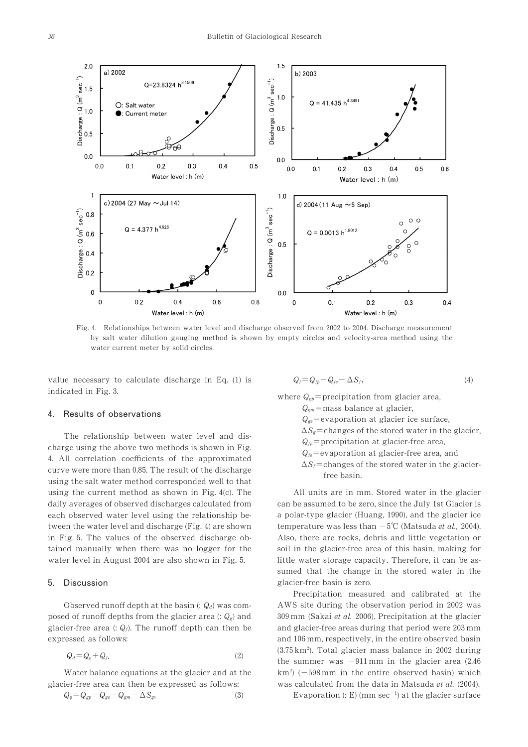

Fig. 4. Relationships between water level and discharge observed from 2002 to 2004. Discharge measurement by salt water dilution gauging method is shown by empty circles and velocity-area method using the water current meter by solid circles.

value necessary to calculate discharge in Eq.  $(1)$  is indicated in Fig. 3.

## 4. Results of observations

The relationship between water level and discharge using the above two methods is shown in Fig. 4. All correlation coefficients of the approximated curve were more than 0.85. The result of the discharge using the salt water method corresponded well to that using the current method as shown in Fig.  $4(c)$ . The daily averages of observed discharges calculated from each observed water level using the relationship between the water level and discharge (Fig. 4) are shown in Fig. 5. The values of the observed discharge obtained manually when there was no logger for the water level in August 2004 are also shown in Fig. 5.

## 5. Discussion

Observed runoff depth at the basin  $(Q_d)$  was composed of runoff depths from the glacier area  $: Q_g$  and glacier-free area (:  $Q_f$ ). The runoff depth can then be expressed as follows:

$$
Q_d = Q_g + Q_f. \tag{2}
$$

Water balance equations at the glacier and at the

glacier-free area can then be expressed as follows:  
\n
$$
Q_g = Q_{gp} - Q_{ge} - Q_{gm} - \Delta S_g,
$$
\n(3)

$$
Q_f = Q_{fp} - Q_{fe} - \Delta S_f, \qquad (4)
$$

where  $Q_{gp}$ =precipitation from glacier area,

- $Q_{cm}$ =mass balance at glacier,
- $Q_{ge}$ =evaporation at glacier ice surface,
- $\Delta S_{\nu}$ =changes of the stored water in the glacier,

 $Q_{fp}$ = precipitation at glacier-free area,

- $Q_f$ =evaporation at glacier-free area, and
- $\Delta S_f$ =changes of the stored water in the glacierfree basin.

All units are in mm. Stored water in the glacier can be assumed to be zero, since the July 1st Glacier is a polar-type glacier (Huang, 1990), and the glacier ice temperature was less than  $-5^{\circ}$ C (Matsuda *et al.*, 2004). Also, there are rocks, debris and little vegetation or soil in the glacier-free area of this basin, making for little water storage capacity. Therefore, it can be assumed that the change in the stored water in the glacier-free basin is zero.

Precipitation measured and calibrated at the AWS site during the observation period in  $2002$  was 309 mm (Sakai et al. 2006). Precipitation at the glacier and glacier-free areas during that period were  $203 \,\mathrm{mm}$ and 106 mm, respectively, in the entire observed basin  $(3.75 \text{ km}^2)$ . Total glacier mass balance in 2002 during the summer was  $-911$  mm in the glacier area (2.46)  $km<sup>2</sup>$ ) ( $-598$  mm in the entire observed basin) which was calculated from the data in Matsuda et al. (2004).

Evaporation (: E) (mm sec<sup>-1</sup>) at the glacier surface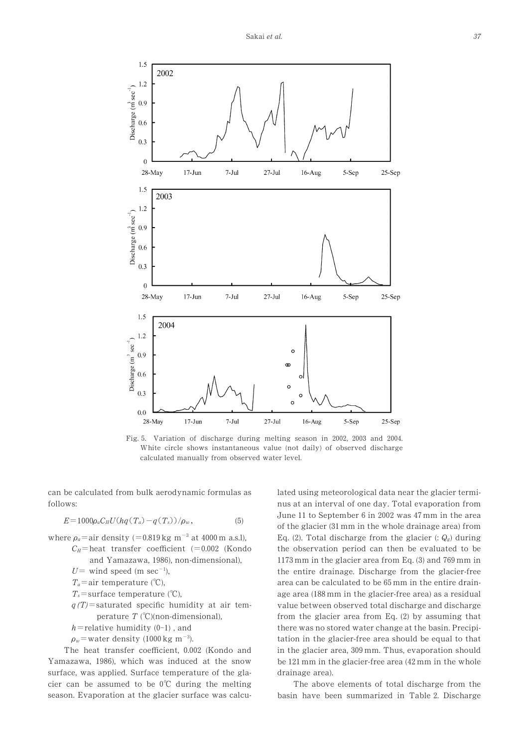

Fig. 5. Variation of discharge during melting season in 2002, 2003 and  $2004$ . White circle shows instantaneous value (not daily) of observed discharge calculated manually from observed water level.

can be calculated from bulk aerodynamic formulas as follows:

$$
E = 1000 \rho_a C_H U (hq(T_a) - q(T_s)) / \rho_w, \qquad (5)
$$

- where  $\rho_a$  = air density (=0.819 kg m<sup>-3</sup> at 4000 m a.s.l),
	- $C_H$ = heat transfer coefficient (=0.002 (Kondo and Yamazawa, 1986), non-dimensional),

 $U=$  wind speed (m sec<sup>-1</sup>),

- $T_a$ =air temperature (°C),
- $T_s$ =surface temperature (°C),
- $q(T)$ =saturated specific humidity at air temperature  $T$  (°C)(non-dimensional),
- $h$ =relative humidity (0-1), and
- $\rho_w$ =water density (1000 kg m<sup>-3</sup>).

The heat transfer coefficient, 0.002 (Kondo and Yamazawa, 1986), which was induced at the snow surface, was applied. Surface temperature of the glacier can be assumed to be  $0^{\circ}$ C during the melting season. Evaporation at the glacier surface was calculated using meteorological data near the glacier terminus at an interval of one day. Total evaporation from June 11 to September 6 in 2002 was 47 mm in the area of the glacier (31 mm in the whole drainage area) from Eq. (2). Total discharge from the glacier (:  $Q_g$ ) during the observation period can then be evaluated to be  $1173$  mm in the glacier area from Eq. (3) and  $769$  mm in the entire drainage. Discharge from the glacier-free area can be calculated to be 65 mm in the entire drainage area (188 mm in the glacier-free area) as a residual value between observed total discharge and discharge from the glacier area from Eq.  $(2)$  by assuming that there was no stored water change at the basin. Precipitation in the glacier-free area should be equal to that in the glacier area, 309 mm. Thus, evaporation should be  $121 \text{ mm}$  in the glacier-free area ( $42 \text{ mm}$  in the whole drainage area).

The above elements of total discharge from the basin have been summarized in Table 2. Discharge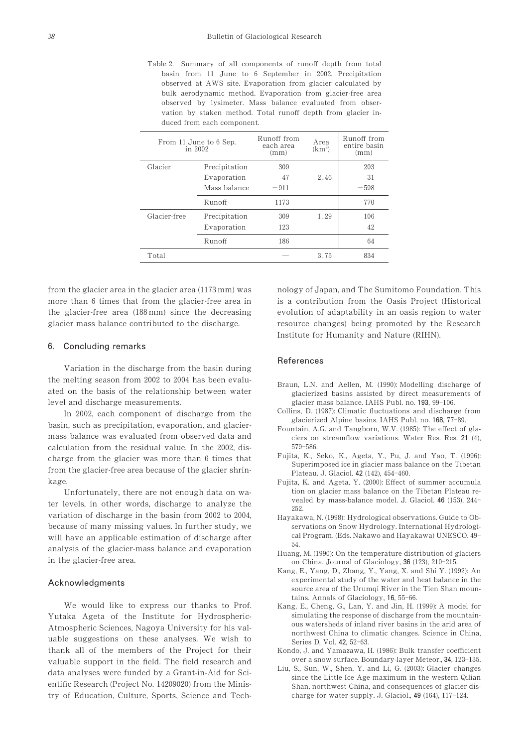Table 2. Summary of all components of runoff depth from total basin from 11 June to 6 September in 2002. Precipitation observed at AWS site. Evaporation from glacier calculated by bulk aerodynamic method. Evaporation from glacier-free area observed by lysimeter. Mass balance evaluated from observation by staken method. Total runoff depth from glacier induced from each component.

| From 11 June to 6 Sep.<br>in 2002 |               | R <sub>11</sub> noff from<br>each area<br>(mm) | Area<br>(km <sup>2</sup> ) | Runoff from<br>entire basin<br>(mm) |
|-----------------------------------|---------------|------------------------------------------------|----------------------------|-------------------------------------|
| Glacier                           | Precipitation | 309                                            |                            | 203                                 |
|                                   | Evaporation   | 47                                             | 2.46                       | 31                                  |
|                                   | Mass balance  | $-911$                                         |                            | $-598$                              |
|                                   | Runoff        | 1173                                           |                            | 770                                 |
| Glacier-free                      | Precipitation | 309                                            | 1.29                       | 106                                 |
|                                   | Evaporation   | 123                                            |                            | 42                                  |
|                                   | Runoff        | 186                                            |                            | 64                                  |
| Total                             |               |                                                | 3.75                       | 834                                 |

from the glacier area in the glacier area  $(1173 \text{ mm})$  was more than 6 times that from the glacier-free area in the glacier-free area  $(188 \text{ mm})$  since the decreasing glacier mass balance contributed to the discharge.

### 0. Concluding remarks

Variation in the discharge from the basin during the melting season from  $2002$  to  $2004$  has been evaluated on the basis of the relationship between water level and discharge measurements.

In 2002, each component of discharge from the basin, such as precipitation, evaporation, and glaciermass balance was evaluated from observed data and calculation from the residual value. In the  $2002$ , discharge from the glacier was more than 6 times that from the glacier-free area because of the glacier shrinkage.

Unfortunately, there are not enough data on water levels, in other words, discharge to analyze the variation of discharge in the basin from 2002 to 2004, because of many missing values. In further study, we will have an applicable estimation of discharge after analysis of the glacier-mass balance and evaporation in the glacier-free area.

## Acknowledgments

We would like to express our thanks to Prof. Yutaka Ageta of the Institute for Hydrospheric-Atmospheric Sciences, Nagoya University for his valuable suggestions on these analyses. We wish to thank all of the members of the Project for their valuable support in the field. The field research and data analyses were funded by a Grant-in-Aid for Scientific Research (Project No. 14209020) from the Ministry of Education, Culture, Sports, Science and Technology of Japan, and The Sumitomo Foundation. This is a contribution from the Oasis Project (Historical evolution of adaptability in an oasis region to water resource changes) being promoted by the Research Institute for Humanity and Nature (RIHN).

#### References

- Braun, L.N. and Aellen, M. (1990): Modelling discharge of glacierized basins assisted by direct measurements of glacier mass balance. IAHS Publ. no. 193, 99-106.
- Collins, D. (1987): Climatic fluctuations and discharge from glacierized Alpine basins. IAHS Publ. no. 168, 77-89.
- Fountain, A.G. and Tangborn, W.V. (1985): The effect of glaciers on streamflow variations. Water Res. Res.  $21$  (4), 579-586
- Fujita, K., Seko, K., Ageta, Y., Pu, J. and Yao, T. (1996): Superimposed ice in glacier mass balance on the Tibetan Plateau. J. Glaciol. 42 (142). 454-460.
- Fujita, K. and Ageta, Y. (2000): Effect of summer accumula tion on glacier mass balance on the Tibetan Plateau revealed by mass-balance model. J. Glaciol.  $46$  (153),  $244-$ 252
- Hayakawa, N. (1998): Hydrological observations. Guide to Observations on Snow Hydrology. International Hydrological Program. (Eds. Nakawo and Hayakawa) UNESCO. 49- $.54$
- Huang, M. (1990): On the temperature distribution of glaciers on China. Journal of Glaciology, 36 (123), 210-215.
- Kang, E., Yang, D., Zhang, Y., Yang, X. and Shi Y. (1992): An experimental study of the water and heat balance in the source area of the Urumqi River in the Tien Shan mountains. Annals of Glaciology,  $16$ ,  $55-66$ .
- Kang, E., Cheng, G., Lan, Y. and Jin, H. (1999): A model for simulating the response of discharge from the mountainous watersheds of inland river basins in the arid area of northwest China to climatic changes. Science in China, Series D, Vol. 42, 52-63.
- Kondo, J. and Yamazawa, H. (1986): Bulk transfer coefficient over a snow surface. Boundary-layer Meteor., 34, 123-135.
- Liu, S., Sun, W., Shen, Y. and Li, G. (2003): Glacier changes since the Little Ice Age maximum in the western Qilian Shan, northwest China, and consequences of glacier discharge for water supply. J. Glaciol.,  $49$  (164),  $117-124$ .